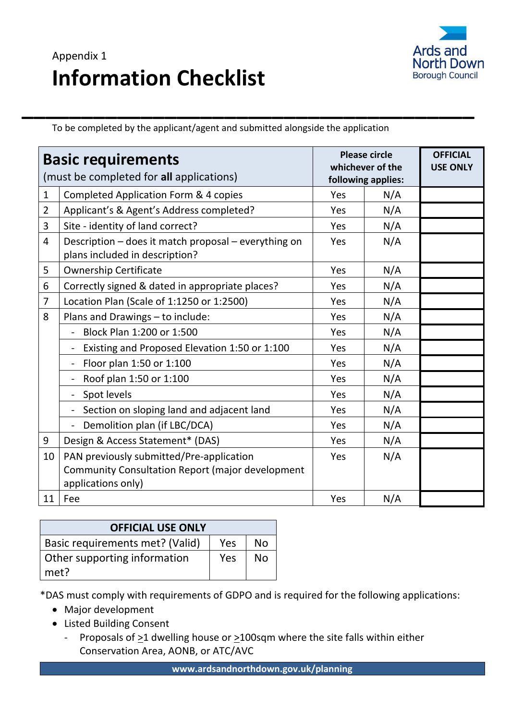## Appendix 1 **Information Checklist**



**\_\_\_\_\_\_\_\_\_\_\_\_\_\_\_\_\_\_\_\_\_\_\_\_\_\_\_\_\_\_\_\_\_\_\_\_\_\_** To be completed by the applicant/agent and submitted alongside the application

| <b>Basic requirements</b><br>(must be completed for all applications) |                                                                                                                    | <b>Please circle</b><br>whichever of the<br>following applies: |     | <b>OFFICIAL</b><br><b>USE ONLY</b> |
|-----------------------------------------------------------------------|--------------------------------------------------------------------------------------------------------------------|----------------------------------------------------------------|-----|------------------------------------|
| $\mathbf{1}$                                                          | Completed Application Form & 4 copies                                                                              | Yes                                                            | N/A |                                    |
| $\overline{2}$                                                        | Applicant's & Agent's Address completed?                                                                           | Yes                                                            | N/A |                                    |
| 3                                                                     | Site - identity of land correct?                                                                                   | Yes                                                            | N/A |                                    |
| $\overline{4}$                                                        | Description - does it match proposal - everything on<br>plans included in description?                             | Yes                                                            | N/A |                                    |
| 5                                                                     | <b>Ownership Certificate</b>                                                                                       | Yes                                                            | N/A |                                    |
| 6                                                                     | Correctly signed & dated in appropriate places?                                                                    | Yes                                                            | N/A |                                    |
| $\overline{7}$                                                        | Location Plan (Scale of 1:1250 or 1:2500)                                                                          | Yes                                                            | N/A |                                    |
| 8                                                                     | Plans and Drawings - to include:                                                                                   | Yes                                                            | N/A |                                    |
|                                                                       | Block Plan 1:200 or 1:500                                                                                          | Yes                                                            | N/A |                                    |
|                                                                       | Existing and Proposed Elevation 1:50 or 1:100                                                                      | Yes                                                            | N/A |                                    |
|                                                                       | Floor plan 1:50 or 1:100                                                                                           | Yes                                                            | N/A |                                    |
|                                                                       | Roof plan 1:50 or 1:100                                                                                            | Yes                                                            | N/A |                                    |
|                                                                       | Spot levels                                                                                                        | Yes                                                            | N/A |                                    |
|                                                                       | Section on sloping land and adjacent land                                                                          | Yes                                                            | N/A |                                    |
|                                                                       | Demolition plan (if LBC/DCA)                                                                                       | Yes                                                            | N/A |                                    |
| 9                                                                     | Design & Access Statement* (DAS)                                                                                   | Yes                                                            | N/A |                                    |
| 10                                                                    | PAN previously submitted/Pre-application<br>Community Consultation Report (major development<br>applications only) | Yes                                                            | N/A |                                    |
| 11                                                                    | Fee                                                                                                                | Yes                                                            | N/A |                                    |

| <b>OFFICIAL USE ONLY</b>        |            |           |  |  |  |
|---------------------------------|------------|-----------|--|--|--|
| Basic requirements met? (Valid) | <b>Yes</b> | <b>No</b> |  |  |  |
| Other supporting information    | Yes        | No        |  |  |  |
| met?                            |            |           |  |  |  |

\*DAS must comply with requirements of GDPO and is required for the following applications:

- Major development
- Listed Building Consent
	- Proposals of  $\geq 1$  dwelling house or  $\geq 100$ sqm where the site falls within either Conservation Area, AONB, or ATC/AVC